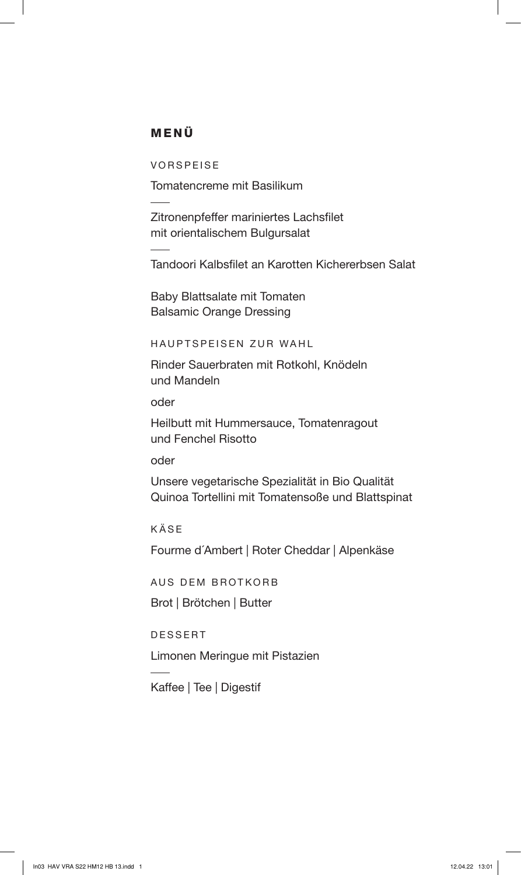## MENÜ

VORSPEISE

Tomatencreme mit Basilikum

Zitronenpfeffer mariniertes Lachsfilet mit orientalischem Bulgursalat

Tandoori Kalbsfilet an Karotten Kichererbsen Salat

Baby Blattsalate mit Tomaten Balsamic Orange Dressing

HAUPTSPEISEN ZUR WAHL

Rinder Sauerbraten mit Rotkohl, Knödeln und Mandeln

oder

Heilbutt mit Hummersauce, Tomatenragout und Fenchel Risotto

oder

Unsere vegetarische Spezialität in Bio Qualität Quinoa Tortellini mit Tomatensoße und Blattspinat

KÄSE

Fourme d´Ambert | Roter Cheddar | Alpenkäse

AUS DEM BROTKORB

Brot | Brötchen | Butter

DESSERT

Limonen Meringue mit Pistazien

Kaffee | Tee | Digestif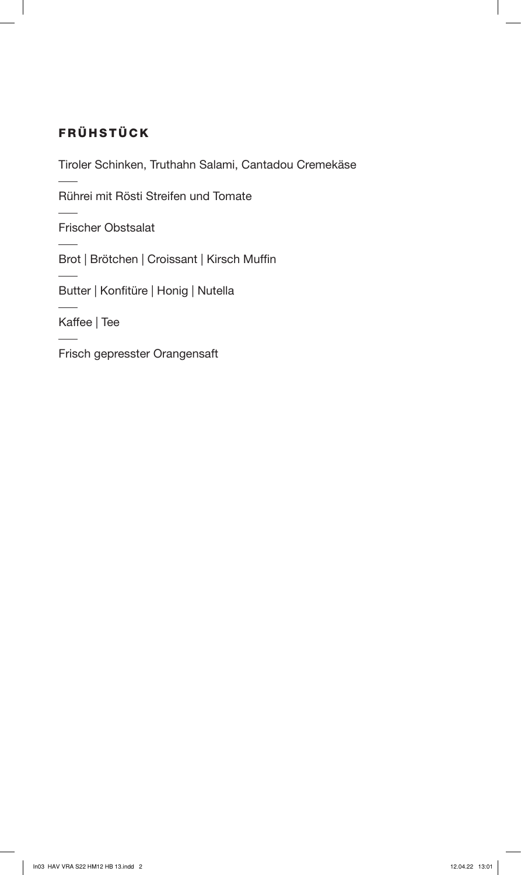# FRÜHSTÜCK

Tiroler Schinken, Truthahn Salami, Cantadou Cremekäse

Rührei mit Rösti Streifen und Tomate

Frischer Obstsalat

Brot | Brötchen | Croissant | Kirsch Muffin

Butter | Konfitüre | Honig | Nutella

Kaffee | Tee

Frisch gepresster Orangensaft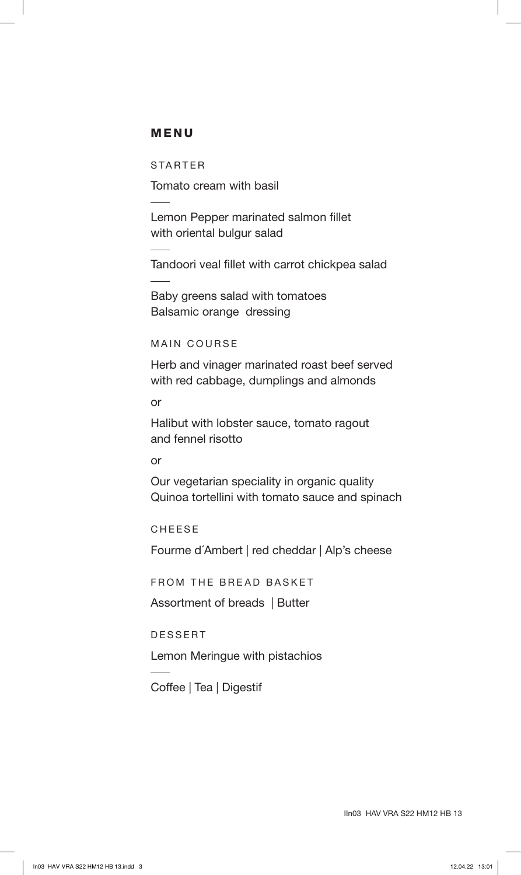### MENU

STARTER

Tomato cream with basil

Lemon Pepper marinated salmon fillet with oriental bulgur salad

Tandoori veal fillet with carrot chickpea salad

Baby greens salad with tomatoes Balsamic orange dressing

#### MAIN COURSE

Herb and vinager marinated roast beef served with red cabbage, dumplings and almonds

or

Halibut with lobster sauce, tomato ragout and fennel risotto

#### or

Our vegetarian speciality in organic quality Quinoa tortellini with tomato sauce and spinach

CHEESE

Fourme d´Ambert | red cheddar | Alp's cheese

FROM THE BREAD BASKET

Assortment of breads | Butter

DESSERT

Lemon Meringue with pistachios

Coffee | Tea | Digestif

IIn03 HAV VRA S22 HM12 HB 13